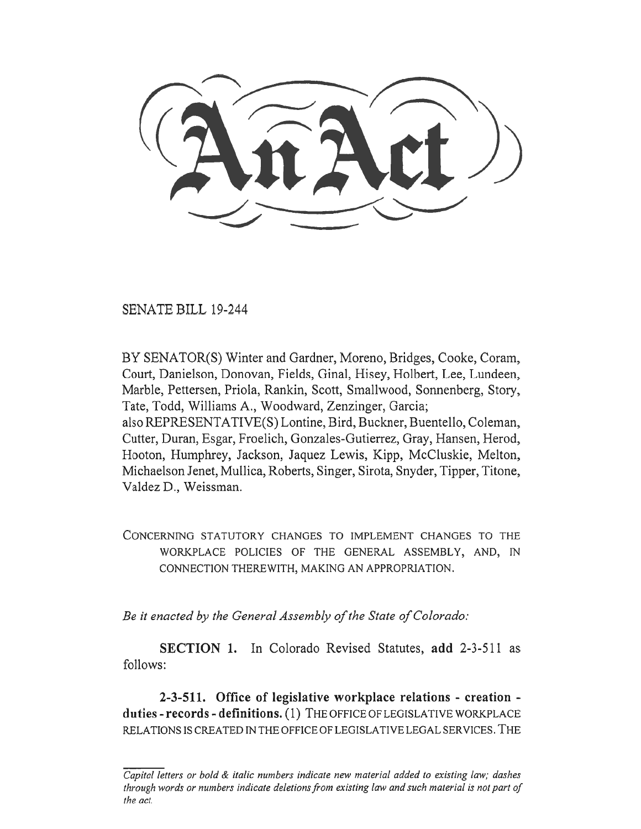SENATE BILL 19-244

BY SENATOR(S) Winter and Gardner, Moreno, Bridges, Cooke, Coram, Court, Danielson, Donovan, Fields, Ginal, Hisey, Holbert, Lee, Lundeen, Marble, Pettersen, Priola, Rankin, Scott, Smallwood, Sonnenberg, Story, Tate, Todd, Williams A., Woodward, Zenzinger, Garcia; also REPRESENTATIVE(S) Lontine, Bird, Buckner, Buentello, Coleman, Cutter, Duran, Esgar, Froelich, Gonzales-Gutierrez, Gray, Hansen, Herod, Hooton, Humphrey, Jackson, Jaquez Lewis, Kipp, McCluskie, Melton, Michaelson Jenet, Mullica, Roberts, Singer, Sirota, Snyder, Tipper, Titone, Valdez D., Weissman.

CONCERNING STATUTORY CHANGES TO IMPLEMENT CHANGES TO THE WORKPLACE POLICIES OF THE GENERAL ASSEMBLY, AND, IN CONNECTION THEREWITH, MAKING AN APPROPRIATION.

*Be it enacted by the General Assembly of the State of Colorado:* 

**SECTION 1.** In Colorado Revised Statutes, **add** 2-3-511 as follows:

**2-3-511. Office of legislative workplace relations - creation duties - records - definitions.** (1) THE OFFICE OF LEGISLATIVE WORKPLACE RELATIONS IS CREATED IN THE OFFICE OF LEGISLATIVE LEGAL SERVICES. THE

*Capital letters or bold & italic numbers indicate new material added to existing law; dashes through words or numbers indicate deletions from existing law and such material is not part of the act.*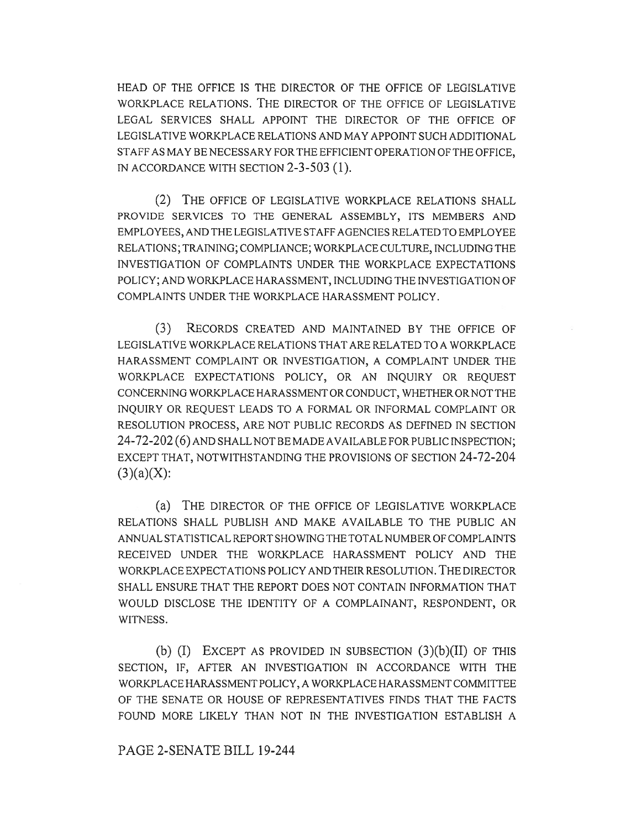HEAD OF THE OFFICE IS THE DIRECTOR OF THE OFFICE OF LEGISLATIVE WORKPLACE RELATIONS. THE DIRECTOR OF THE OFFICE OF LEGISLATIVE LEGAL SERVICES SHALL APPOINT THE DIRECTOR OF THE OFFICE OF LEGISLATIVE WORKPLACE RELATIONS AND MAY APPOINT SUCH ADDITIONAL STAFF AS MAY BE NECESSARY FOR THE EFFICIENT OPERATION OF THE OFFICE, IN ACCORDANCE WITH SECTION 2-3-503 (1).

(2) THE OFFICE OF LEGISLATIVE WORKPLACE RELATIONS SHALL PROVIDE SERVICES TO THE GENERAL ASSEMBLY, ITS MEMBERS AND EMPLOYEES, AND THE LEGISLATIVE STAFF AGENCIES RELATED TO EMPLOYEE RELATIONS; TRAINING; COMPLIANCE; WORKPLACE CULTURE, INCLUDING THE INVESTIGATION OF COMPLAINTS UNDER THE WORKPLACE EXPECTATIONS POLICY; AND WORKPLACE HARASSMENT, INCLUDING THE INVESTIGATION OF COMPLAINTS UNDER THE WORKPLACE HARASSMENT POLICY.

(3) RECORDS CREATED AND MAINTAINED BY THE OFFICE OF LEGISLATIVE WORKPLACE RELATIONS THAT ARE RELATED TO A WORKPLACE HARASSMENT COMPLAINT OR INVESTIGATION, A COMPLAINT UNDER THE WORKPLACE EXPECTATIONS POLICY, OR AN INQUIRY OR REQUEST CONCERNING WORKPLACE HARASSMENT OR CONDUCT, WHETHER ORNOT THE INQUIRY OR REQUEST LEADS TO A FORMAL OR INFORMAL COMPLAINT OR RESOLUTION PROCESS, ARE NOT PUBLIC RECORDS AS DEFINED IN SECTION 24-72-202 (6) AND SHALL NOT BE MADE AVAILABLE FOR PUBLIC INSPECTION; EXCEPT THAT, NOTWITHSTANDING THE PROVISIONS OF SECTION 24-72-204  $(3)(a)(X)$ :

(a) THE DIRECTOR OF THE OFFICE OF LEGISLATIVE WORKPLACE RELATIONS SHALL PUBLISH AND MAKE AVAILABLE TO THE PUBLIC AN ANNUAL STATISTICAL REPORT SHOWING THE TOTAL NUMBER OF COMPLAINTS RECEIVED UNDER THE WORKPLACE HARASSMENT POLICY AND THE WORKPLACE EXPECTATIONS POLICY AND THEIR RESOLUTION. THE DIRECTOR SHALL ENSURE THAT THE REPORT DOES NOT CONTAIN INFORMATION THAT WOULD DISCLOSE THE IDENTITY OF A COMPLAINANT, RESPONDENT, OR WITNESS.

(b)  $(I)$  EXCEPT AS PROVIDED IN SUBSECTION  $(3)(b)(II)$  OF THIS SECTION, IF, AFTER AN INVESTIGATION IN ACCORDANCE WITH THE WORKPLACE HARASSMENT POLICY, A WORKPLACE HARASSMENT COMMITTEE OF THE SENATE OR HOUSE OF REPRESENTATIVES FINDS THAT THE FACTS FOUND MORE LIKELY THAN NOT IN THE INVESTIGATION ESTABLISH A

## PAGE 2-SENATE BILL 19-244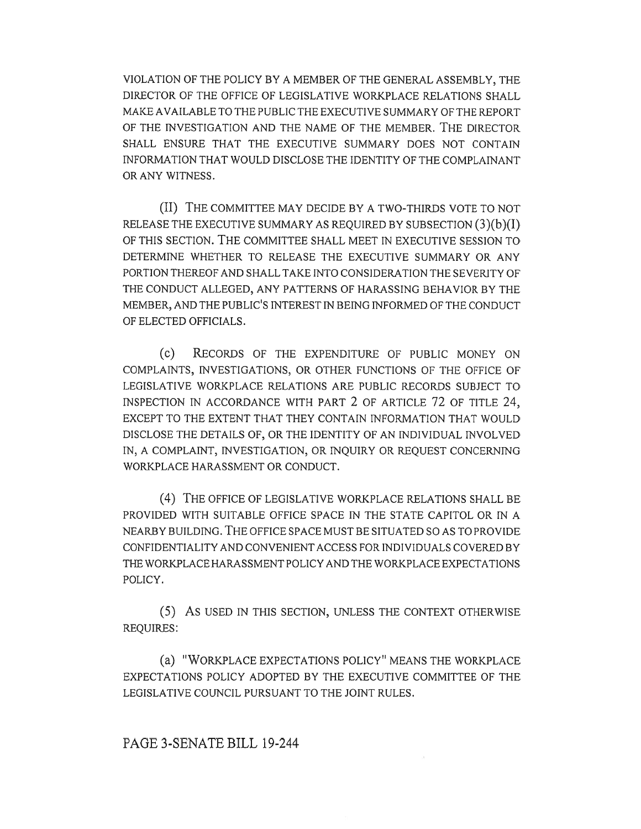VIOLATION OF THE POLICY BY A MEMBER OF THE GENERAL ASSEMBLY, THE DIRECTOR OF THE OFFICE OF LEGISLATIVE WORKPLACE RELATIONS SHALL MAKE AVAILABLE TO THE PUBLIC THE EXECUTIVE SUMMARY OF THE REPORT OF THE INVESTIGATION AND THE NAME OF THE MEMBER. THE DIRECTOR SHALL ENSURE THAT THE EXECUTIVE SUMMARY DOES NOT CONTAIN INFORMATION THAT WOULD DISCLOSE THE IDENTITY OF THE COMPLAINANT OR ANY WITNESS.

(II) THE COMMITTEE MAY DECIDE BY A TWO-THIRDS VOTE TO NOT RELEASE THE EXECUTIVE SUMMARY AS REQUIRED BY SUBSECTION (3)(b)(I) OF THIS SECTION. THE COMMITTEE SHALL MEET IN EXECUTIVE SESSION TO DETERMINE WHETHER TO RELEASE THE EXECUTIVE SUMMARY OR ANY PORTION THEREOF AND SHALL TAKE INTO CONSIDERATION THE SEVERITY OF THE CONDUCT ALLEGED, ANY PATTERNS OF HARASSING BEHAVIOR BY THE MEMBER, AND THE PUBLIC'S INTEREST IN BEING INFORMED OF THE CONDUCT OF ELECTED OFFICIALS.

(C) RECORDS OF THE EXPENDITURE OF PUBLIC MONEY ON COMPLAINTS, INVESTIGATIONS, OR OTHER FUNCTIONS OF THE OFFICE OF LEGISLATIVE WORKPLACE RELATIONS ARE PUBLIC RECORDS SUBJECT TO INSPECTION IN ACCORDANCE WITH PART 2 OF ARTICLE 72 OF TITLE 24, EXCEPT TO THE EXTENT THAT THEY CONTAIN INFORMATION THAT WOULD DISCLOSE THE DETAILS OF, OR THE IDENTITY OF AN INDIVIDUAL INVOLVED IN, A COMPLAINT, INVESTIGATION, OR INQUIRY OR REQUEST CONCERNING WORKPLACE HARASSMENT OR CONDUCT.

(4) THE OFFICE OF LEGISLATIVE WORKPLACE RELATIONS SHALL BE PROVIDED WITH SUITABLE OFFICE SPACE IN THE STATE CAPITOL OR IN A NEARBY BUILDING. THE OFFICE SPACE MUST BE SITUATED SO AS TO PROVIDE CONFIDENTIALITY AND CONVENIENT ACCESS FOR INDIVIDUALS COVERED BY THE WORKPLACE HARASSMENT POLICY AND THE WORKPLACE EXPECTATIONS POLICY.

(5) As USED IN THIS SECTION, UNLESS THE CONTEXT OTHERWISE REQUIRES:

(a) "WORKPLACE EXPECTATIONS POLICY" MEANS THE WORKPLACE EXPECTATIONS POLICY ADOPTED BY THE EXECUTIVE COMMITTEE OF THE LEGISLATIVE COUNCIL PURSUANT TO THE JOINT RULES.

## PAGE 3-SENATE BILL 19-244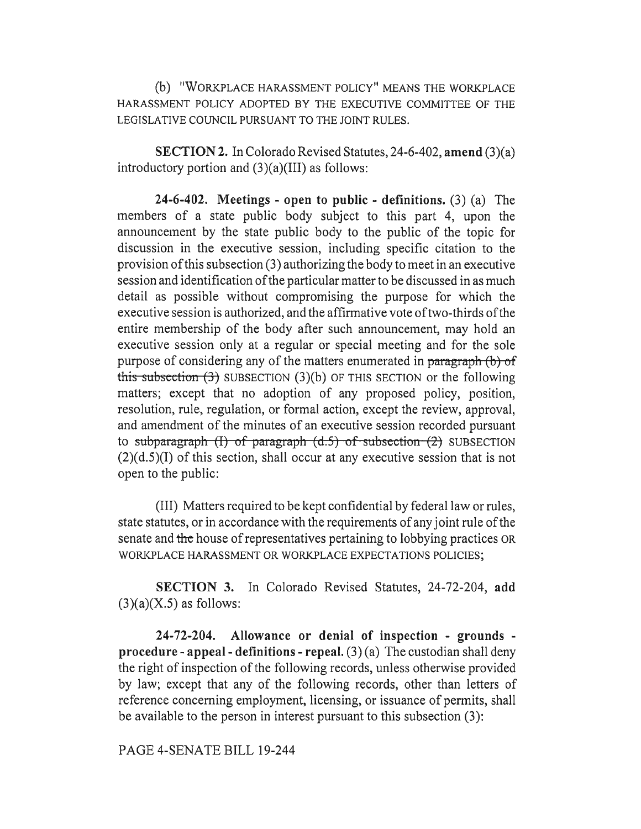(b) "WORKPLACE HARASSMENT POLICY" MEANS THE WORKPLACE HARASSMENT POLICY ADOPTED BY THE EXECUTIVE COMMITTEE OF THE LEGISLATIVE COUNCIL PURSUANT TO THE JOINT RULES.

**SECTION 2.** In Colorado Revised Statutes, 24-6-402, **amend** (3)(a) introductory portion and  $(3)(a)(III)$  as follows:

**24-6-402. Meetings - open to public - definitions.** (3) (a) The members of a state public body subject to this part 4, upon the announcement by the state public body to the public of the topic for discussion in the executive session, including specific citation to the provision of this subsection (3) authorizing the body to meet in an executive session and identification of the particular matter to be discussed in as much detail as possible without compromising the purpose for which the executive session is authorized, and the affirmative vote of two-thirds of the entire membership of the body after such announcement, may hold an executive session only at a regular or special meeting and for the sole purpose of considering any of the matters enumerated in paragraph (b) of this subsection  $(3)$  SUBSECTION  $(3)(b)$  OF THIS SECTION or the following matters; except that no adoption of any proposed policy, position, resolution, rule, regulation, or formal action, except the review, approval, and amendment of the minutes of an executive session recorded pursuant to subparagraph  $(I)$  of paragraph  $(d.5)$  of subsection  $(2)$  SUBSECTION  $(2)(d.5)(I)$  of this section, shall occur at any executive session that is not open to the public:

(III) Matters required to be kept confidential by federal law or rules, state statutes, or in accordance with the requirements of any joint rule of the senate and the house of representatives pertaining to lobbying practices OR WORKPLACE HARASSMENT OR WORKPLACE EXPECTATIONS POLICIES;

**SECTION 3.** In Colorado Revised Statutes, 24-72-204, **add**   $(3)(a)(X.5)$  as follows:

**24-72-204. Allowance or denial of inspection - grounds procedure - appeal - definitions - repeal.** (3) (a) The custodian shall deny the right of inspection of the following records, unless otherwise provided by law; except that any of the following records, other than letters of reference concerning employment, licensing, or issuance of permits, shall be available to the person in interest pursuant to this subsection (3):

## PAGE 4-SENATE BILL 19-244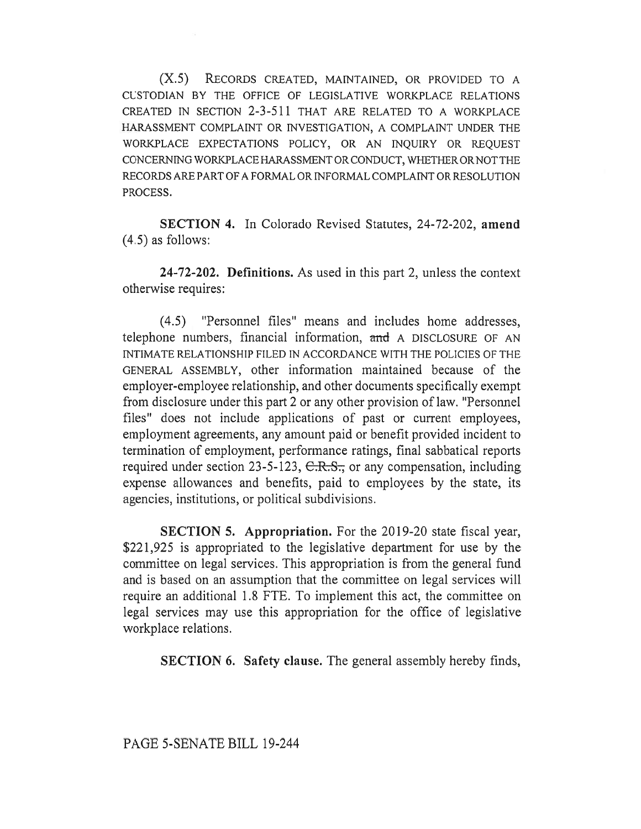(X.5) RECORDS CREATED, MAINTAINED, OR PROVIDED TO A CUSTODIAN BY THE OFFICE OF LEGISLATIVE WORKPLACE RELATIONS CREATED IN SECTION 2-3-511 THAT ARE RELATED TO A WORKPLACE HARASSMENT COMPLAINT OR INVESTIGATION, A COMPLAINT UNDER THE WORKPLACE EXPECTATIONS POLICY, OR AN INQUIRY OR REQUEST CONCERNING WORKPLACE HARASSMENT OR CONDUCT, WHETHER ORNOT THE RECORDS ARE PART OF A FORMAL OR INFORMAL COMPLAINT OR RESOLUTION PROCESS.

**SECTION 4.** In Colorado Revised Statutes, 24-72-202, **amend**  (4.5) as follows:

**24-72-202. Definitions.** As used in this part 2, unless the context otherwise requires:

(4.5) "Personnel files" means and includes home addresses, telephone numbers, financial information, and A DISCLOSURE OF AN INTIMATE RELATIONSHIP FILED IN ACCORDANCE WITH THE POLICIES OF THE GENERAL ASSEMBLY, other information maintained because of the employer-employee relationship, and other documents specifically exempt from disclosure under this part 2 or any other provision of law. "Personnel files" does not include applications of past or current employees, employment agreements, any amount paid or benefit provided incident to termination of employment, performance ratings, final sabbatical reports required under section 23-5-123, C.R.S., or any compensation, including expense allowances and benefits, paid to employees by the state, its agencies, institutions, or political subdivisions.

**SECTION 5. Appropriation.** For the 2019-20 state fiscal year, \$221,925 is appropriated to the legislative department for use by the committee on legal services. This appropriation is from the general fund and is based on an assumption that the committee on legal services will require an additional 1.8 FTE. To implement this act, the committee on legal services may use this appropriation for the office of legislative workplace relations.

**SECTION 6. Safety clause.** The general assembly hereby finds,